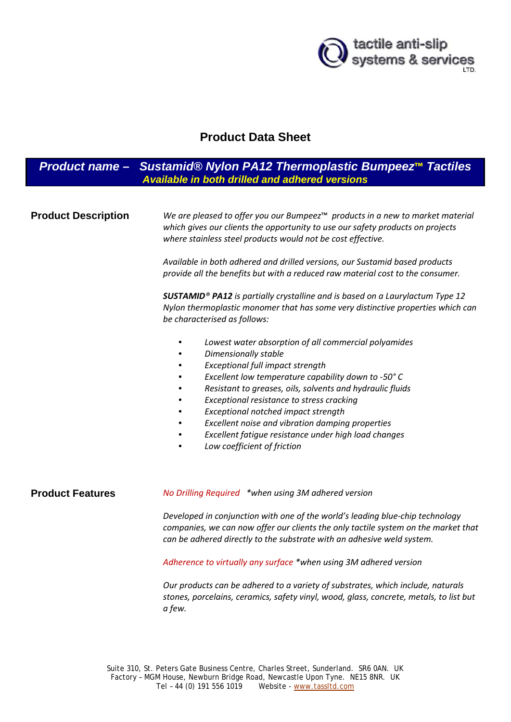

# **Product Data Sheet**

# *Product name – Sustamid® Nylon PA12 Thermoplastic Bumpeez***™** *Tactiles Available in both drilled and adhered versions*

**Product Description** *We are pleased to offer you our Bumpeez*™ *products in a new to market material which gives our clients the opportunity to use our safety products on projects where stainless steel products would not be cost effective. Available in both adhered and drilled versions, our Sustamid based products provide all the benefits but with a reduced raw material cost to the consumer. SUSTAMID® PA12 is partially crystalline and is based on a Laurylactum Type 12 Nylon thermoplastic monomer that has some very distinctive properties which can be characterised as follows:* • *Lowest water absorption of all commercial polyamides* • *Dimensionally stable* • *Exceptional full impact strength* • *Excellent low temperature capability down to -50° C* • *Resistant to greases, oils, solvents and hydraulic fluids* • *Exceptional resistance to stress cracking* • *Exceptional notched impact strength* • *Excellent noise and vibration damping properties* • *Excellent fatigue resistance under high load changes*  • *Low coefficient of friction* **Product Features** *No Drilling Required \*when using 3M adhered version Developed in conjunction with one of the world's leading blue-chip technology companies, we can now offer our clients the only tactile system on the market that can be adhered directly to the substrate with an adhesive weld system. Adherence to virtually any surface \*when using 3M adhered version Our products can be adhered to a variety of substrates, which include, naturals stones, porcelains, ceramics, safety vinyl, wood, glass, concrete, metals, to list but* 

*a few.*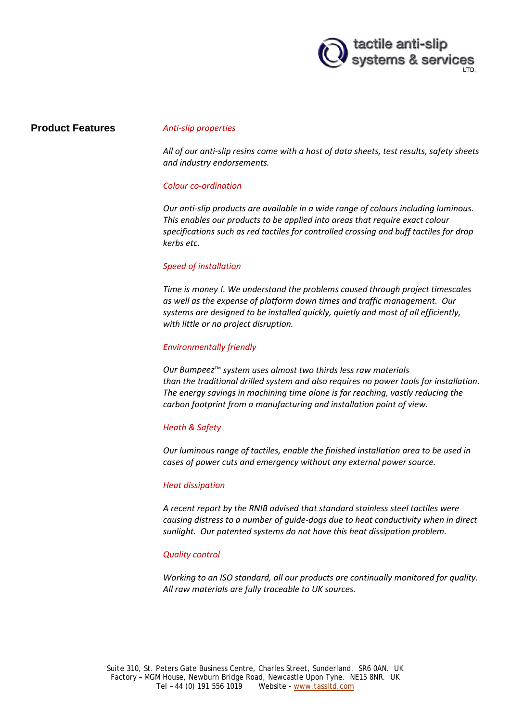

## **Product Features** *Anti-slip properties*

*All of our anti-slip resins come with a host of data sheets, test results, safety sheets and industry endorsements.*

### *Colour co-ordination*

*Our anti-slip products are available in a wide range of colours including luminous. This enables our products to be applied into areas that require exact colour specifications such as red tactiles for controlled crossing and buff tactiles for drop kerbs etc.*

### *Speed of installation*

*Time is money !. We understand the problems caused through project timescales as well as the expense of platform down times and traffic management. Our systems are designed to be installed quickly, quietly and most of all efficiently, with little or no project disruption.*

#### *Environmentally friendly*

*Our Bumpeez*™ *system uses almost two thirds less raw materials than the traditional drilled system and also requires no power tools for installation. The energy savings in machining time alone is far reaching, vastly reducing the carbon footprint from a manufacturing and installation point of view.*

### *Heath & Safety*

*Our luminous range of tactiles, enable the finished installation area to be used in cases of power cuts and emergency without any external power source.*

#### *Heat dissipation*

*A recent report by the RNIB advised that standard stainless steel tactiles were causing distress to a number of guide-dogs due to heat conductivity when in direct sunlight. Our patented systems do not have this heat dissipation problem.*

### *Quality control*

*Working to an ISO standard, all our products are continually monitored for quality. All raw materials are fully traceable to UK sources.*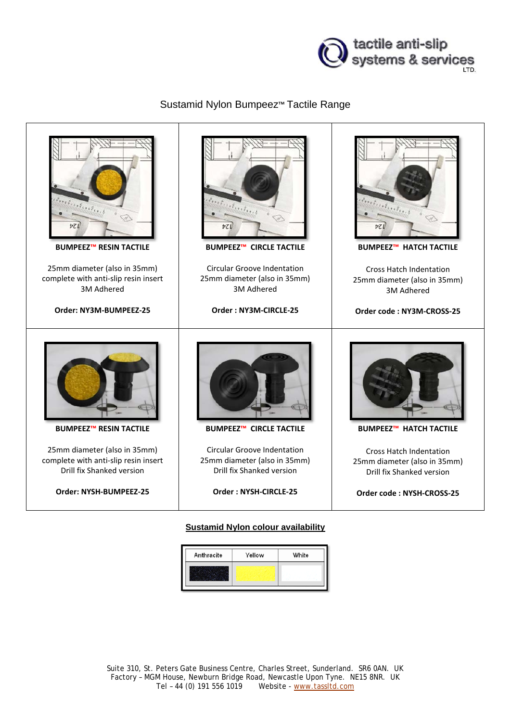

# Sustamid Nylon Bumpeez™ Tactile Range



## **Sustamid Nylon colour availability**

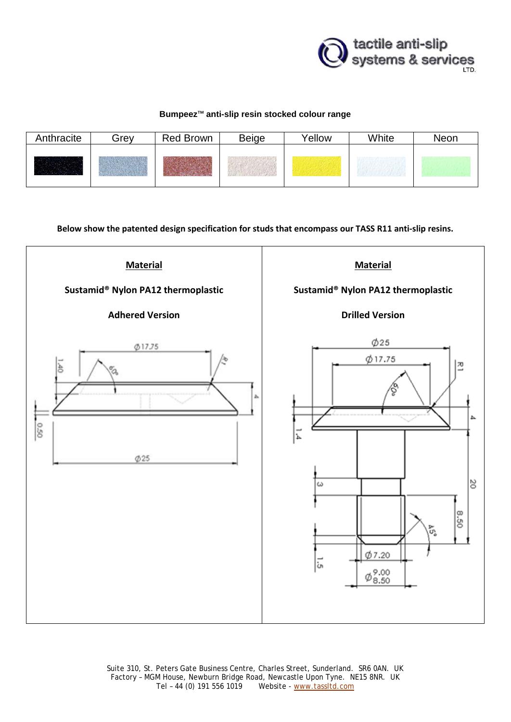

## **Bumpeez**™ **anti-slip resin stocked colour range**

| Anthracite | Grev | Red Brown | <b>Beige</b> | Yellow | White | Neon |
|------------|------|-----------|--------------|--------|-------|------|
|            |      |           |              |        |       |      |

**Below show the patented design specification for studs that encompass our TASS R11 anti-slip resins.**



Suite 310, St. Peters Gate Business Centre, Charles Street, Sunderland. SR6 0AN. UK Factory - MGM House, Newburn Bridge Road, Newcastle Upon Tyne. NE15 8NR. UK<br>Tel - 44 (0) 191 556 1019 Website - www.tassltd.com Website - www.tassltd.com